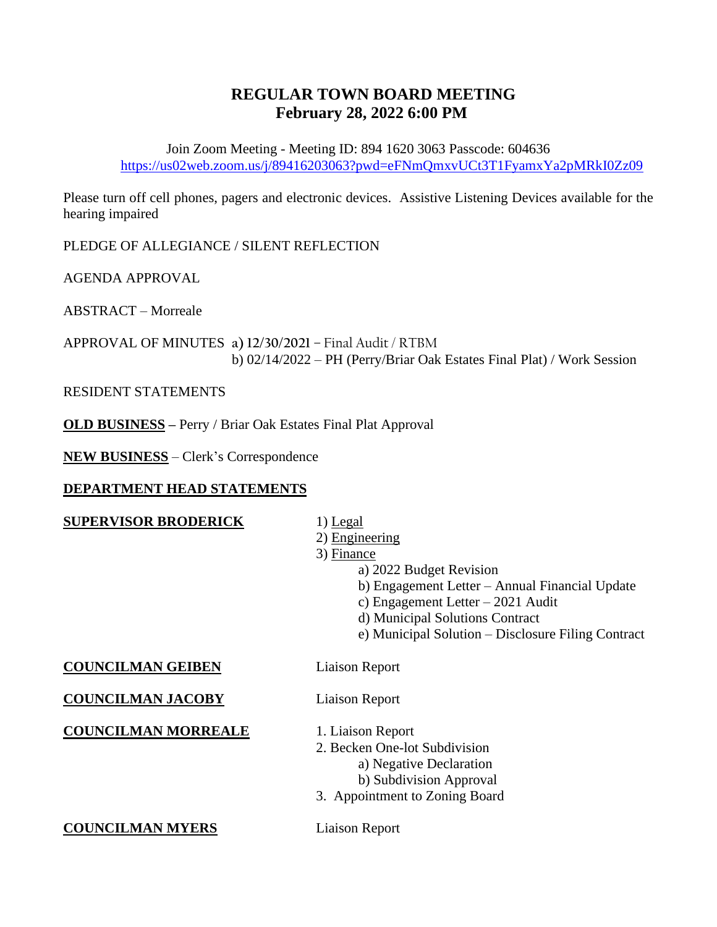## **REGULAR TOWN BOARD MEETING February 28, 2022 6:00 PM**

Join Zoom Meeting - Meeting ID: 894 1620 3063 Passcode: 604636 <https://us02web.zoom.us/j/89416203063?pwd=eFNmQmxvUCt3T1FyamxYa2pMRkI0Zz09>

Please turn off cell phones, pagers and electronic devices. Assistive Listening Devices available for the hearing impaired

PLEDGE OF ALLEGIANCE / SILENT REFLECTION

AGENDA APPROVAL

ABSTRACT – Morreale

APPROVAL OF MINUTES **a) 12/30/2021** – Final Audit / RTBM b) 02/14/2022 – PH (Perry/Briar Oak Estates Final Plat) / Work Session

RESIDENT STATEMENTS

**OLD BUSINESS –** Perry / Briar Oak Estates Final Plat Approval

**NEW BUSINESS** – Clerk's Correspondence

## **DEPARTMENT HEAD STATEMENTS**

## **SUPERVISOR BRODERICK** 1) Legal

- 
- 2) Engineering
- 3) Finance
	- a) 2022 Budget Revision
	- b) Engagement Letter Annual Financial Update
	- c) Engagement Letter 2021 Audit
	- d) Municipal Solutions Contract
	- e) Municipal Solution Disclosure Filing Contract

**COUNCILMAN GEIBEN** Liaison Report

**COUNCILMAN JACOBY** Liaison Report

**COUNCILMAN MORREALE** 1. Liaison Report

- 2. Becken One-lot Subdivision a) Negative Declaration b) Subdivision Approval
- 3. Appointment to Zoning Board

**COUNCILMAN MYERS** Liaison Report